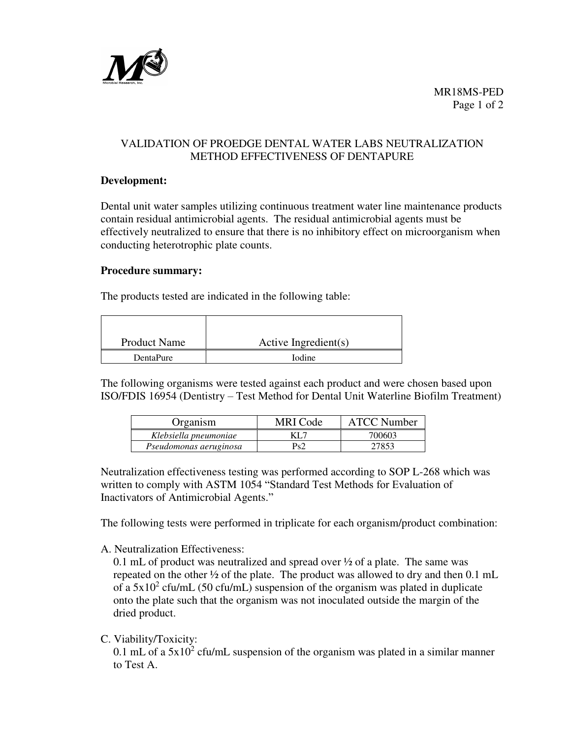

# VALIDATION OF PROEDGE DENTAL WATER LABS NEUTRALIZATION METHOD EFFECTIVENESS OF DENTAPURE

### **Development:**

Dental unit water samples utilizing continuous treatment water line maintenance products contain residual antimicrobial agents. The residual antimicrobial agents must be effectively neutralized to ensure that there is no inhibitory effect on microorganism when conducting heterotrophic plate counts.

#### **Procedure summary:**

The products tested are indicated in the following table:

| <b>Product Name</b> | Active Ingredient(s) |  |  |
|---------------------|----------------------|--|--|
| DentaPure           | <b>Iodine</b>        |  |  |

The following organisms were tested against each product and were chosen based upon ISO/FDIS 16954 (Dentistry – Test Method for Dental Unit Waterline Biofilm Treatment)

| Organism               | MRI Code | <b>ATCC Number</b> |
|------------------------|----------|--------------------|
| Klebsiella pneumoniae  | KL 7     | 700603             |
| Pseudomonas aeruginosa | Ps2      | 27853              |

Neutralization effectiveness testing was performed according to SOP L-268 which was written to comply with ASTM 1054 "Standard Test Methods for Evaluation of Inactivators of Antimicrobial Agents."

The following tests were performed in triplicate for each organism/product combination:

A. Neutralization Effectiveness:

0.1 mL of product was neutralized and spread over ½ of a plate. The same was repeated on the other ½ of the plate. The product was allowed to dry and then 0.1 mL of a  $5x10^2$  cfu/mL (50 cfu/mL) suspension of the organism was plated in duplicate onto the plate such that the organism was not inoculated outside the margin of the dried product.

C. Viability/Toxicity:

0.1 mL of a  $5x10^2$  cfu/mL suspension of the organism was plated in a similar manner to Test A.